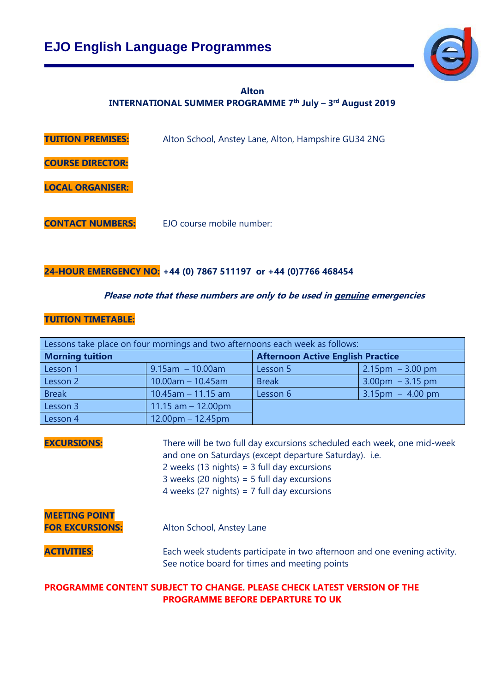

### **Alton INTERNATIONAL SUMMER PROGRAMME 7 th July – 3 rd August 2019**

| <b>TUITION PREMISES:</b> | Alton School, Anstey Lane, Alton, Hampshire GU34 2NG |
|--------------------------|------------------------------------------------------|
| <b>COURSE DIRECTOR:</b>  |                                                      |
| <b>LOCAL ORGANISER:</b>  |                                                      |
| <b>CONTACT NUMBERS:</b>  | EJO course mobile number:                            |

### **24-HOUR EMERGENCY NO: +44 (0) 7867 511197 or +44 (0)7766 468454**

### **Please note that these numbers are only to be used in genuine emergencies**

### **TUITION TIMETABLE:**

| Lessons take place on four mornings and two afternoons each week as follows: |                                                                                                                                                                                                                                                                                      |                                          |                                   |  |  |  |
|------------------------------------------------------------------------------|--------------------------------------------------------------------------------------------------------------------------------------------------------------------------------------------------------------------------------------------------------------------------------------|------------------------------------------|-----------------------------------|--|--|--|
| <b>Morning tuition</b>                                                       |                                                                                                                                                                                                                                                                                      | <b>Afternoon Active English Practice</b> |                                   |  |  |  |
| Lesson 1                                                                     | $9.15$ am $-10.00$ am                                                                                                                                                                                                                                                                | Lesson 5                                 | $2.15 \text{pm} - 3.00 \text{pm}$ |  |  |  |
| Lesson 2                                                                     | $10.00$ am - 10.45am                                                                                                                                                                                                                                                                 | <b>Break</b>                             | $3.00 \text{pm} - 3.15 \text{pm}$ |  |  |  |
| <b>Break</b>                                                                 | $10.45$ am - 11.15 am                                                                                                                                                                                                                                                                | Lesson 6                                 | $3.15 \text{pm} - 4.00 \text{pm}$ |  |  |  |
| Lesson 3                                                                     | 11.15 $am - 12.00pm$                                                                                                                                                                                                                                                                 |                                          |                                   |  |  |  |
| Lesson 4                                                                     | $12.00$ pm – 12.45pm                                                                                                                                                                                                                                                                 |                                          |                                   |  |  |  |
| <b>EXCURSIONS:</b>                                                           | There will be two full day excursions scheduled each week, one mid-week<br>and one on Saturdays (except departure Saturday). i.e.<br>2 weeks (13 nights) = $3$ full day excursions<br>3 weeks (20 nights) = $5$ full day excursions<br>4 weeks (27 nights) = $7$ full day excursions |                                          |                                   |  |  |  |
| <b>MEETING POINT</b><br><b>FOR EXCURSIONS:</b><br>Alton School, Anstey Lane  |                                                                                                                                                                                                                                                                                      |                                          |                                   |  |  |  |
| <b>ACTIVITIES:</b>                                                           | Each week students participate in two afternoon and one evening activity.<br>See notice board for times and meeting points                                                                                                                                                           |                                          |                                   |  |  |  |
| DDACDAMME CANTENT CURIECT TA CUANCE. DI EASE CUECK LATEST VEDSIAN AE TUE     |                                                                                                                                                                                                                                                                                      |                                          |                                   |  |  |  |

#### **PROGRAMME CONTENT SUBJECT TO CHANGE. PLEASE CHECK LATEST VERSION OF THE PROGRAMME BEFORE DEPARTURE TO UK**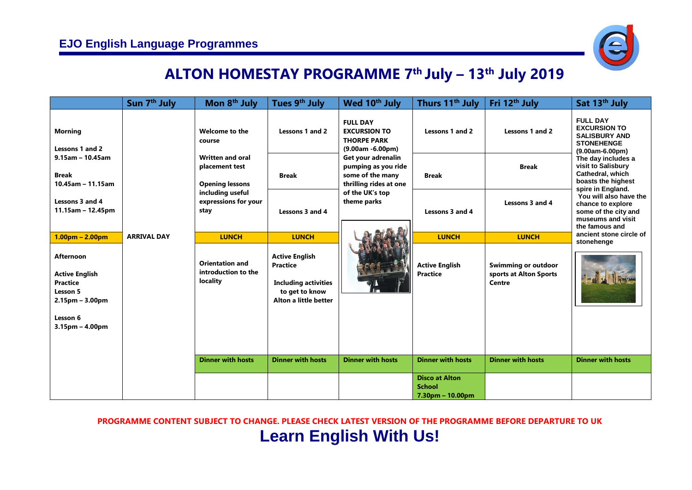

## **ALTON HOMESTAY PROGRAMME 7 th July – 13 th July 2019**

|                                                                                                                                | Sun 7 <sup>th</sup> July                                                                                                                                                        | Mon 8 <sup>th</sup> July                                            | Tues 9 <sup>th</sup> July                | Wed 10 <sup>th</sup> July                                                               | Thurs 11 <sup>th</sup> July                                | Fri 12 <sup>th</sup> July | Sat 13 <sup>th</sup> July                                                                                  |
|--------------------------------------------------------------------------------------------------------------------------------|---------------------------------------------------------------------------------------------------------------------------------------------------------------------------------|---------------------------------------------------------------------|------------------------------------------|-----------------------------------------------------------------------------------------|------------------------------------------------------------|---------------------------|------------------------------------------------------------------------------------------------------------|
| <b>Morning</b><br>Lessons 1 and 2                                                                                              |                                                                                                                                                                                 | Welcome to the<br>course                                            | Lessons 1 and 2                          | <b>FULL DAY</b><br><b>EXCURSION TO</b><br><b>THORPE PARK</b><br>$(9.00am - 6.00pm)$     | Lessons 1 and 2                                            | Lessons 1 and 2           | <b>FULL DAY</b><br><b>EXCURSION TO</b><br><b>SALISBURY AND</b><br><b>STONEHENGE</b><br>$(9.00am-6.00pm)$   |
| $9.15$ am - 10.45am<br><b>Break</b><br>$10.45$ am - 11.15am                                                                    |                                                                                                                                                                                 | <b>Written and oral</b><br>placement test<br><b>Opening lessons</b> | <b>Break</b>                             | Get your adrenalin<br>pumping as you ride<br>some of the many<br>thrilling rides at one | <b>Break</b>                                               | <b>Break</b>              | The day includes a<br>visit to Salisbury<br>Cathedral, which<br>boasts the highest<br>spire in England.    |
| Lessons 3 and 4<br>$11.15$ am - 12.45pm                                                                                        |                                                                                                                                                                                 | including useful<br>expressions for your<br>stay                    | Lessons 3 and 4                          | of the UK's top<br>theme parks                                                          | Lessons 3 and 4                                            | Lessons 3 and 4           | You will also have the<br>chance to explore<br>some of the city and<br>museums and visit<br>the famous and |
| $1.00pm - 2.00pm$                                                                                                              | <b>ARRIVAL DAY</b>                                                                                                                                                              | <b>LUNCH</b>                                                        | <b>LUNCH</b>                             |                                                                                         | <b>LUNCH</b>                                               | <b>LUNCH</b>              | ancient stone circle of                                                                                    |
| <b>Afternoon</b><br><b>Active English</b><br><b>Practice</b><br>Lesson 5<br>$2.15pm - 3.00pm$<br>Lesson 6<br>$3.15pm - 4.00pm$ | <b>Active English</b><br><b>Orientation and</b><br><b>Practice</b><br>introduction to the<br>locality<br><b>Including activities</b><br>to get to know<br>Alton a little better |                                                                     | <b>Active English</b><br><b>Practice</b> | <b>Swimming or outdoor</b><br>sports at Alton Sports<br>Centre                          | stonehenge                                                 |                           |                                                                                                            |
|                                                                                                                                |                                                                                                                                                                                 | <b>Dinner with hosts</b>                                            | <b>Dinner with hosts</b>                 | <b>Dinner with hosts</b>                                                                | <b>Dinner with hosts</b>                                   | <b>Dinner with hosts</b>  | <b>Dinner with hosts</b>                                                                                   |
|                                                                                                                                |                                                                                                                                                                                 |                                                                     |                                          |                                                                                         | <b>Disco at Alton</b><br><b>School</b><br>7.30pm - 10.00pm |                           |                                                                                                            |

**PROGRAMME CONTENT SUBJECT TO CHANGE. PLEASE CHECK LATEST VERSION OF THE PROGRAMME BEFORE DEPARTURE TO UK**

# **Learn English With Us!**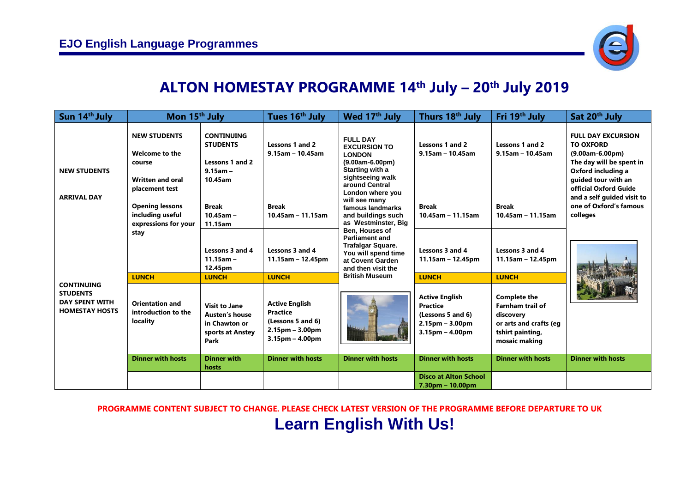

### **ALTON HOMESTAY PROGRAMME 14 th July – 20th July 2019**

| Sun 14 <sup>th</sup> July                                                                                                           | Mon 15 <sup>th</sup> July                                                                                                       |                                                                                            | Tues 16th July                                                                                                       | Wed 17 <sup>th</sup> July                                                                                                                                     | Thurs 18 <sup>th</sup> July                                                                             | Fri 19 <sup>th</sup> July                                                                                                  | Sat 20 <sup>th</sup> July                                                                                                                     |
|-------------------------------------------------------------------------------------------------------------------------------------|---------------------------------------------------------------------------------------------------------------------------------|--------------------------------------------------------------------------------------------|----------------------------------------------------------------------------------------------------------------------|---------------------------------------------------------------------------------------------------------------------------------------------------------------|---------------------------------------------------------------------------------------------------------|----------------------------------------------------------------------------------------------------------------------------|-----------------------------------------------------------------------------------------------------------------------------------------------|
| <b>NEW STUDENTS</b><br><b>ARRIVAL DAY</b><br><b>CONTINUING</b><br><b>STUDENTS</b><br><b>DAY SPENT WITH</b><br><b>HOMESTAY HOSTS</b> | <b>NEW STUDENTS</b><br>Welcome to the<br>course<br><b>Written and oral</b>                                                      | <b>CONTINUING</b><br><b>STUDENTS</b><br>Lessons 1 and 2<br>$9.15$ am -<br>10.45am          | Lessons 1 and 2<br>$9.15$ am - 10.45am                                                                               | <b>FULL DAY</b><br><b>EXCURSION TO</b><br><b>LONDON</b><br>$(9.00am-6.00pm)$<br>Starting with a<br>sightseeing walk                                           | Lessons 1 and 2<br>$9.15$ am - 10.45am                                                                  | Lessons 1 and 2<br>$9.15$ am - 10.45am                                                                                     | <b>FULL DAY EXCURSION</b><br><b>TO OXFORD</b><br>$(9.00am - 6.00pm)$<br>The day will be spent in<br>Oxford including a<br>quided tour with an |
|                                                                                                                                     | placement test<br><b>Opening lessons</b><br><b>Break</b><br>including useful<br>$10.45$ am -<br>expressions for your<br>11.15am | <b>Break</b><br>$10.45$ am - 11.15am                                                       | around Central<br>London where you<br>will see many<br>famous landmarks<br>and buildings such<br>as Westminster, Big | <b>Break</b><br>$10.45$ am - 11.15am                                                                                                                          | <b>Break</b><br>$10.45$ am - 11.15am                                                                    | official Oxford Guide<br>and a self guided visit to<br>one of Oxford's famous<br>colleges                                  |                                                                                                                                               |
|                                                                                                                                     | stay<br><b>LUNCH</b>                                                                                                            | Lessons 3 and 4<br>$11.15$ am -<br>12.45pm<br><b>LUNCH</b>                                 | Lessons 3 and 4<br>$11.15$ am – 12.45pm<br><b>LUNCH</b>                                                              | Ben, Houses of<br><b>Parliament and</b><br><b>Trafalgar Square.</b><br>You will spend time<br>at Covent Garden<br>and then visit the<br><b>British Museum</b> | Lessons 3 and 4<br>$11.15$ am - 12.45pm<br><b>LUNCH</b>                                                 | Lessons 3 and 4<br>$11.15$ am - 12.45pm<br><b>LUNCH</b>                                                                    |                                                                                                                                               |
|                                                                                                                                     | <b>Orientation and</b><br>introduction to the<br>locality                                                                       | <b>Visit to Jane</b><br><b>Austen's house</b><br>in Chawton or<br>sports at Anstey<br>Park | <b>Active English</b><br><b>Practice</b><br>(Lessons 5 and 6)<br>$2.15pm - 3.00pm$<br>$3.15pm - 4.00pm$              |                                                                                                                                                               | <b>Active English</b><br><b>Practice</b><br>(Lessons 5 and 6)<br>$2.15pm - 3.00pm$<br>$3.15pm - 4.00pm$ | <b>Complete the</b><br><b>Farnham trail of</b><br>discovery<br>or arts and crafts (eq<br>tshirt painting,<br>mosaic making |                                                                                                                                               |
|                                                                                                                                     | <b>Dinner with hosts</b>                                                                                                        | <b>Dinner with</b><br>hosts                                                                | <b>Dinner with hosts</b>                                                                                             | <b>Dinner with hosts</b>                                                                                                                                      | <b>Dinner with hosts</b>                                                                                | <b>Dinner with hosts</b>                                                                                                   | <b>Dinner with hosts</b>                                                                                                                      |
|                                                                                                                                     |                                                                                                                                 |                                                                                            |                                                                                                                      |                                                                                                                                                               | <b>Disco at Alton School</b><br>$7.30pm - 10.00pm$                                                      |                                                                                                                            |                                                                                                                                               |

### **PROGRAMME CONTENT SUBJECT TO CHANGE. PLEASE CHECK LATEST VERSION OF THE PROGRAMME BEFORE DEPARTURE TO UK Learn English With Us!**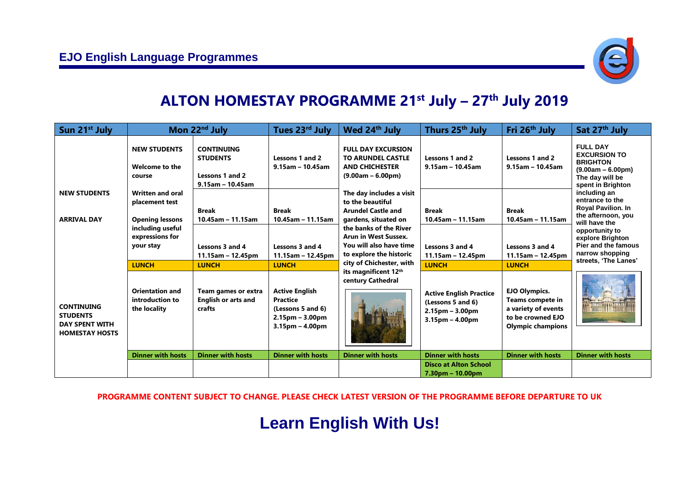

# **ALTON HOMESTAY PROGRAMME 21 st July – 27 th July 2019**

| Sun 21 <sup>st</sup> July                                                                                                           |                                                                                         | Mon 22 <sup>nd</sup> July                                                             | Tues 23 <sup>rd</sup> July                                                                              | Wed 24 <sup>th</sup> July                                                                                                                                                                                                                                                                                                                                                                          | Thurs 25 <sup>th</sup> July                                                                   | Fri 26 <sup>th</sup> July                                                                                        | Sat 27th July                                                                                                                                                                                                                                                                                                                           |
|-------------------------------------------------------------------------------------------------------------------------------------|-----------------------------------------------------------------------------------------|---------------------------------------------------------------------------------------|---------------------------------------------------------------------------------------------------------|----------------------------------------------------------------------------------------------------------------------------------------------------------------------------------------------------------------------------------------------------------------------------------------------------------------------------------------------------------------------------------------------------|-----------------------------------------------------------------------------------------------|------------------------------------------------------------------------------------------------------------------|-----------------------------------------------------------------------------------------------------------------------------------------------------------------------------------------------------------------------------------------------------------------------------------------------------------------------------------------|
|                                                                                                                                     | <b>NEW STUDENTS</b><br>Welcome to the<br>course                                         | <b>CONTINUING</b><br><b>STUDENTS</b><br><b>Lessons 1 and 2</b><br>$9.15$ am - 10.45am | Lessons 1 and 2<br>$9.15$ am - 10.45am                                                                  | <b>FULL DAY EXCURSION</b><br><b>TO ARUNDEL CASTLE</b><br><b>AND CHICHESTER</b><br>$(9.00am - 6.00pm)$<br>The day includes a visit<br>to the beautiful<br><b>Arundel Castle and</b><br>gardens, situated on<br>the banks of the River<br><b>Arun in West Sussex.</b><br>You will also have time<br>to explore the historic<br>city of Chichester, with<br>its magnificent 12th<br>century Cathedral | Lessons 1 and 2<br>$9.15$ am - 10.45am                                                        | Lessons 1 and 2<br>$9.15$ am - 10.45am                                                                           | <b>FULL DAY</b><br><b>EXCURSION TO</b><br><b>BRIGHTON</b><br>$(9.00am - 6.00pm)$<br>The day will be<br>spent in Brighton<br>including an<br>entrance to the<br><b>Royal Pavilion. In</b><br>the afternoon, you<br>will have the<br>opportunity to<br>explore Brighton<br>Pier and the famous<br>narrow shopping<br>streets, 'The Lanes' |
| <b>NEW STUDENTS</b><br><b>ARRIVAL DAY</b><br><b>CONTINUING</b><br><b>STUDENTS</b><br><b>DAY SPENT WITH</b><br><b>HOMESTAY HOSTS</b> | <b>Written and oral</b><br>placement test<br><b>Opening lessons</b><br>including useful | <b>Break</b><br>$10.45$ am - 11.15am                                                  | <b>Break</b><br>$10.45$ am - 11.15am                                                                    |                                                                                                                                                                                                                                                                                                                                                                                                    | <b>Break</b><br>$10.45$ am - 11.15am                                                          | <b>Break</b><br>$10.45$ am - 11.15am                                                                             |                                                                                                                                                                                                                                                                                                                                         |
|                                                                                                                                     | expressions for<br>your stay<br><b>LUNCH</b>                                            | Lessons 3 and 4<br>$11.15$ am - 12.45pm<br><b>LUNCH</b>                               | Lessons 3 and 4<br>$11.15$ am - 12.45pm<br><b>LUNCH</b>                                                 |                                                                                                                                                                                                                                                                                                                                                                                                    | Lessons 3 and 4<br>$11.15$ am - 12.45pm<br><b>LUNCH</b>                                       | Lessons 3 and 4<br>$11.15$ am – 12.45pm<br><b>LUNCH</b>                                                          |                                                                                                                                                                                                                                                                                                                                         |
|                                                                                                                                     | <b>Orientation and</b><br>introduction to<br>the locality                               | Team games or extra<br><b>English or arts and</b><br>crafts                           | <b>Active English</b><br><b>Practice</b><br>(Lessons 5 and 6)<br>$2.15pm - 3.00pm$<br>$3.15pm - 4.00pm$ |                                                                                                                                                                                                                                                                                                                                                                                                    | <b>Active English Practice</b><br>(Lessons 5 and 6)<br>$2.15pm - 3.00pm$<br>$3.15pm - 4.00pm$ | <b>EJO Olympics.</b><br>Teams compete in<br>a variety of events<br>to be crowned EJO<br><b>Olympic champions</b> |                                                                                                                                                                                                                                                                                                                                         |
|                                                                                                                                     | <b>Dinner with hosts</b>                                                                | <b>Dinner with hosts</b>                                                              | <b>Dinner with hosts</b>                                                                                | <b>Dinner with hosts</b>                                                                                                                                                                                                                                                                                                                                                                           | <b>Dinner with hosts</b>                                                                      | <b>Dinner with hosts</b>                                                                                         | <b>Dinner with hosts</b>                                                                                                                                                                                                                                                                                                                |
|                                                                                                                                     |                                                                                         |                                                                                       |                                                                                                         |                                                                                                                                                                                                                                                                                                                                                                                                    | <b>Disco at Alton School</b><br>$7.30pm - 10.00pm$                                            |                                                                                                                  |                                                                                                                                                                                                                                                                                                                                         |

#### **PROGRAMME CONTENT SUBJECT TO CHANGE. PLEASE CHECK LATEST VERSION OF THE PROGRAMME BEFORE DEPARTURE TO UK**

# **Learn English With Us!**